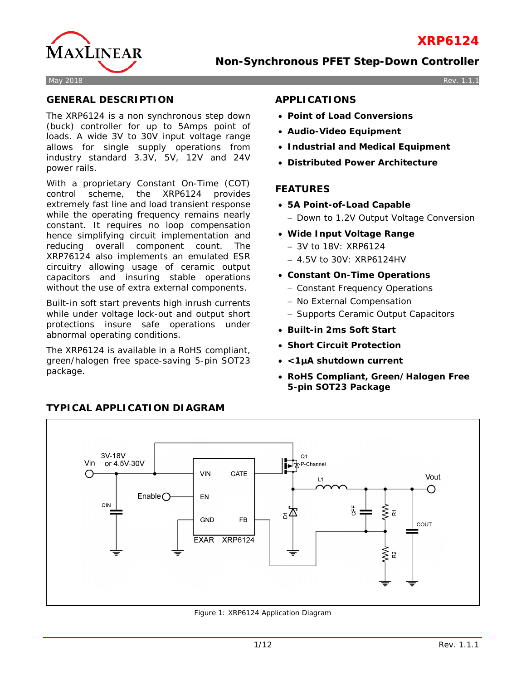



May 2018 Rev. 1.1.1

## **GENERAL DESCRIPTION**

The XRP6124 is a non synchronous step down (buck) controller for up to 5Amps point of loads. A wide 3V to 30V input voltage range allows for single supply operations from industry standard 3.3V, 5V, 12V and 24V power rails.

With a proprietary Constant On-Time (COT) control scheme, the XRP6124 provides extremely fast line and load transient response while the operating frequency remains nearly constant. It requires no loop compensation hence simplifying circuit implementation and reducing overall component count. The XRP76124 also implements an emulated ESR circuitry allowing usage of ceramic output capacitors and insuring stable operations without the use of extra external components.

Built-in soft start prevents high inrush currents while under voltage lock-out and output short protections insure safe operations under abnormal operating conditions.

The XRP6124 is available in a RoHS compliant, green/halogen free space-saving 5-pin SOT23 package.

## **APPLICATIONS**

- **Point of Load Conversions**
- **Audio-Video Equipment**
- **Industrial and Medical Equipment**
- **Distributed Power Architecture**

## **FEATURES**

- **5A Point-of-Load Capable**
	- − Down to 1.2V Output Voltage Conversion
- **Wide Input Voltage Range**
	- − 3V to 18V: XRP6124
	- − 4.5V to 30V: XRP6124HV
- **Constant On-Time Operations**
	- − Constant Frequency Operations
	- − No External Compensation
	- − Supports Ceramic Output Capacitors
- **Built-in 2ms Soft Start**
- **Short Circuit Protection**
- **<1µA shutdown current**
- **RoHS Compliant, Green/Halogen Free 5-pin SOT23 Package**



#### Figure 1: XRP6124 Application Diagram

# **TYPICAL APPLICATION DIAGRAM**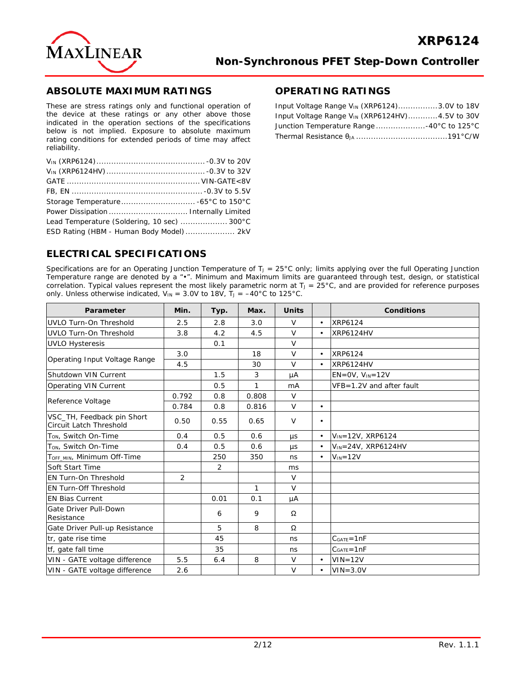

### **ABSOLUTE MAXIMUM RATINGS**

These are stress ratings only and functional operation of the device at these ratings or any other above those indicated in the operation sections of the specifications below is not implied. Exposure to absolute maximum rating conditions for extended periods of time may affect reliability.

| Lead Temperature (Soldering, 10 sec)  300°C |  |
|---------------------------------------------|--|
| ESD Rating (HBM - Human Body Model)  2kV    |  |

## **OPERATING RATINGS**

| Input Voltage Range $V_{IN}$ (XRP6124)3.0V to 18V          |  |
|------------------------------------------------------------|--|
| Input Voltage Range V <sub>IN</sub> (XRP6124HV)4.5V to 30V |  |
| Junction Temperature Range 40°C to 125°C                   |  |
|                                                            |  |

## **ELECTRICAL SPECIFICATIONS**

Specifications are for an Operating Junction Temperature of  $T_J = 25^{\circ}C$  only; limits applying over the full Operating Junction Temperature range are denoted by a "•". Minimum and Maximum limits are guaranteed through test, design, or statistical correlation. Typical values represent the most likely parametric norm at  $T<sub>J</sub> = 25°C$ , and are provided for reference purposes only. Unless otherwise indicated,  $V_{\text{IN}} = 3.0V$  to 18V,  $T_{\text{J}} = -40^{\circ}$ C to 125°C.

| Parameter                                             | <b>Units</b><br>Min.<br>Typ.<br>Max. |                | <b>Conditions</b> |                |           |                            |  |  |  |  |
|-------------------------------------------------------|--------------------------------------|----------------|-------------------|----------------|-----------|----------------------------|--|--|--|--|
| UVLO Turn-On Threshold                                | 2.5                                  | 2.8            | 3.0               | $\vee$         | $\bullet$ | XRP6124                    |  |  |  |  |
| UVLO Turn-On Threshold                                | 3.8                                  | 4.2            | 4.5               | $\vee$         | $\bullet$ | <b>XRP6124HV</b>           |  |  |  |  |
| <b>UVLO Hysteresis</b>                                |                                      | 0.1            |                   | $\vee$         |           |                            |  |  |  |  |
|                                                       | 3.0                                  |                | 18                | $\vee$         | $\bullet$ | XRP6124                    |  |  |  |  |
| Operating Input Voltage Range                         | 4.5                                  |                | 30                | $\vee$         | $\bullet$ | <b>XRP6124HV</b>           |  |  |  |  |
| Shutdown VIN Current                                  |                                      | 1.5            | 3                 | μA             |           | $EN=OV, VIN=12V$           |  |  |  |  |
| Operating VIN Current                                 |                                      | 0.5            | $\mathbf{1}$      | m <sub>A</sub> |           | VFB=1.2V and after fault   |  |  |  |  |
|                                                       | 0.792                                | 0.8            | 0.808             | $\vee$         |           |                            |  |  |  |  |
| Reference Voltage                                     | 0.784                                | 0.8            | 0.816             | $\vee$         | $\bullet$ |                            |  |  |  |  |
| VSC_TH, Feedback pin Short<br>Circuit Latch Threshold | 0.50                                 | 0.55           | 0.65              | $\vee$         | $\bullet$ |                            |  |  |  |  |
| T <sub>ON</sub> , Switch On-Time                      | 0.4                                  | 0.5            | 0.6               | <b>US</b>      | $\bullet$ | $V_{IN} = 12V$ , XRP6124   |  |  |  |  |
| T <sub>ON</sub> , Switch On-Time                      | 0.4                                  | 0.5            | 0.6               | $\mu s$        | $\bullet$ | $V_{IN} = 24V$ , XRP6124HV |  |  |  |  |
| TOFF MIN, Minimum Off-Time                            |                                      | 250            | 350               | ns             | $\bullet$ | $V_{IN} = 12V$             |  |  |  |  |
| Soft Start Time                                       |                                      | $\overline{2}$ |                   | ms             |           |                            |  |  |  |  |
| <b>EN Turn-On Threshold</b>                           | 2                                    |                |                   | $\vee$         |           |                            |  |  |  |  |
| <b>EN Turn-Off Threshold</b>                          |                                      |                | $\mathbf{1}$      | $\vee$         |           |                            |  |  |  |  |
| <b>EN Bias Current</b>                                |                                      | 0.01           | 0.1               | μA             |           |                            |  |  |  |  |
| Gate Driver Pull-Down<br>Resistance                   |                                      | 6              | 9                 | Ω              |           |                            |  |  |  |  |
| Gate Driver Pull-up Resistance                        |                                      | 5              | 8                 | Ω              |           |                            |  |  |  |  |
| tr, gate rise time                                    |                                      | 45             |                   | ns             |           | $CGATE = 1nF$              |  |  |  |  |
| tf, gate fall time                                    |                                      | 35             |                   | ns             |           | $C_{GATE} = 1nF$           |  |  |  |  |
| VIN - GATE voltage difference                         | 5.5                                  | 6.4            | 8                 | $\vee$         | $\bullet$ | $VIN = 12V$                |  |  |  |  |
| VIN - GATE voltage difference                         | 2.6                                  |                |                   | $\vee$         | $\bullet$ | $VIN = 3.0V$               |  |  |  |  |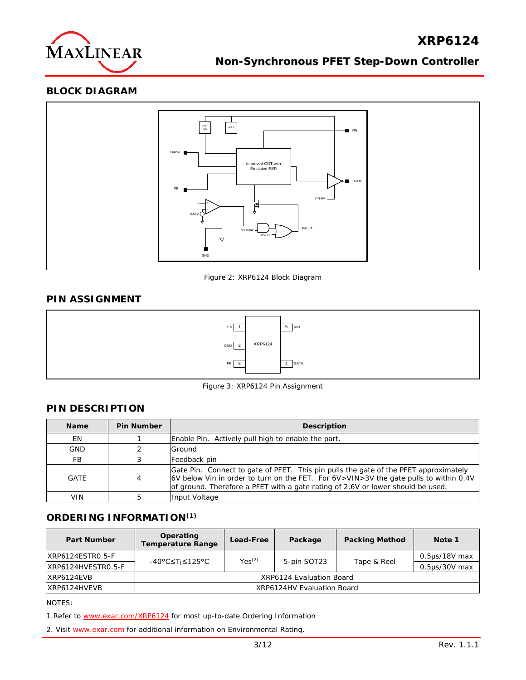

## **BLOCK DIAGRAM**



Figure 2: XRP6124 Block Diagram

## **PIN ASSIGNMENT**



Figure 3: XRP6124 Pin Assignment

## **PIN DESCRIPTION**

| <b>Name</b> | <b>Pin Number</b> | <b>Description</b>                                                                                                                                                                                                                                               |
|-------------|-------------------|------------------------------------------------------------------------------------------------------------------------------------------------------------------------------------------------------------------------------------------------------------------|
| EN          |                   | Enable Pin. Actively pull high to enable the part.                                                                                                                                                                                                               |
| <b>GND</b>  |                   | Ground                                                                                                                                                                                                                                                           |
| FB          |                   | Feedback pin                                                                                                                                                                                                                                                     |
| GATE        | 4                 | Gate Pin. Connect to gate of PFET. This pin pulls the gate of the PFET approximately<br>6V below Vin in order to turn on the FET. For 6V>VIN>3V the gate pulls to within 0.4V<br>of ground. Therefore a PFET with a gate rating of 2.6V or lower should be used. |
| <b>VIN</b>  |                   | Input Voltage                                                                                                                                                                                                                                                    |

### **ORDERING INFORMATION(1)**

| <b>Part Number</b> | Operating<br><b>Temperature Range</b> | Lead-Free   | Package     | <b>Packing Method</b> | Note 1             |  |  |  |
|--------------------|---------------------------------------|-------------|-------------|-----------------------|--------------------|--|--|--|
| XRP6124ESTR0.5-F   | -40°C≤Tı≤125°C                        | $Yes^{(2)}$ | 5-pin SOT23 | Tape & Reel           | $0.5\mu s/18V$ max |  |  |  |
| XRP6124HVESTR0.5-F |                                       |             |             |                       | $0.5$ us/30V max   |  |  |  |
| IXRP6124EVB        | XRP6124 Evaluation Board              |             |             |                       |                    |  |  |  |
| IXRP6124HVEVB      | XRP6124HV Evaluation Board            |             |             |                       |                    |  |  |  |

NOTES:

1. Refer to [www.exar.com/XRP6124](http://www.exar.com/XRP6124) for most up-to-date Ordering Information

2. Visit [www.exar.com](http://www.exar.com/) for additional information on Environmental Rating.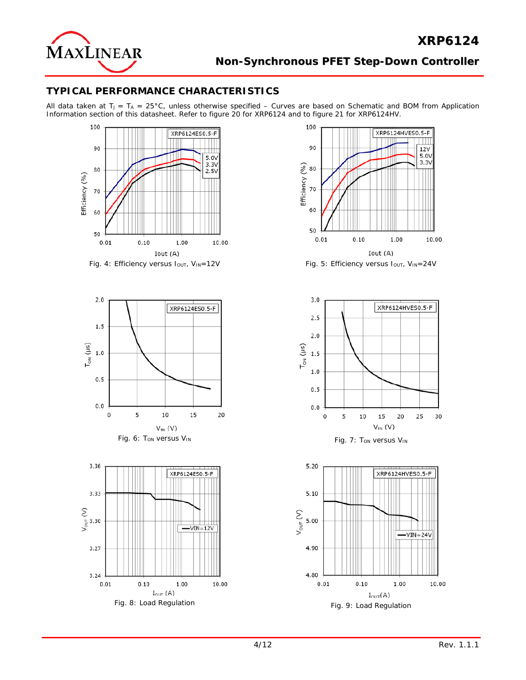

## **TYPICAL PERFORMANCE CHARACTERISTICS**

All data taken at  $T_J = T_A = 25^{\circ}$ C, unless otherwise specified – Curves are based on Schematic and BOM from Application Information section of this datasheet. Refer to figure 20 for XRP6124 and to figure 21 for XRP6124HV.



Fig. 4: Efficiency versus I<sub>OUT</sub>, V<sub>IN</sub>=12V Fig. 5: Efficiency versus I<sub>OUT</sub>, V<sub>IN</sub>=24V









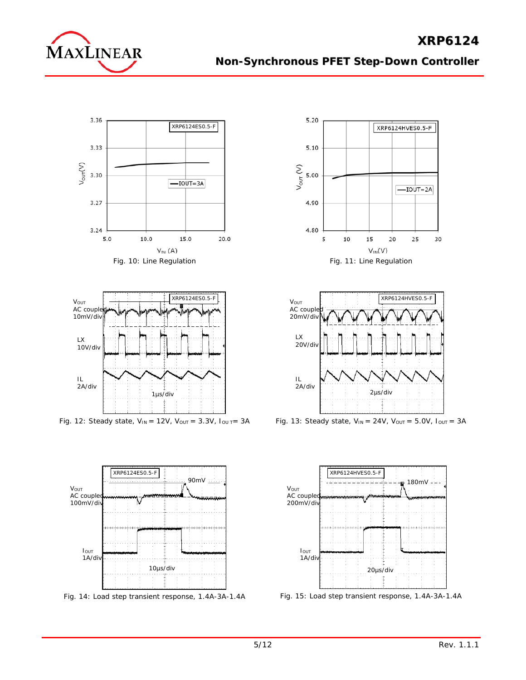





Fig. 12: Steady state,  $V_{IN} = 12V$ ,  $V_{OUT} = 3.3V$ ,  $I_{OUT} = 3A$ 



Fig. 14: Load step transient response, 1.4A-3A-1.4A





Fig. 13: Steady state,  $V_{IN} = 24V$ ,  $V_{OUT} = 5.0V$ ,  $I_{OUT} = 3A$ 



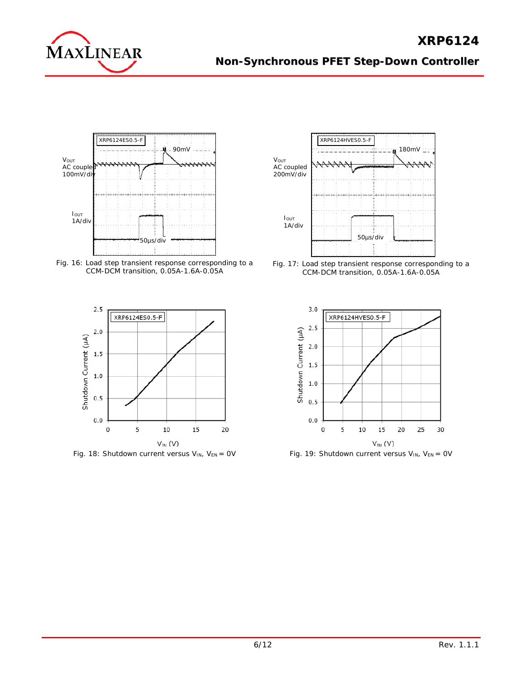

**XRP6124**



Fig. 16: Load step transient response corresponding to a CCM-DCM transition, 0.05A-1.6A-0.05A



Fig. 18: Shutdown current versus  $V_{IN}$ ,  $V_{EN} = 0V$ 



Fig. 17: Load step transient response corresponding to a CCM-DCM transition, 0.05A-1.6A-0.05A



Fig. 19: Shutdown current versus  $V_{IN}$ ,  $V_{EN} = 0V$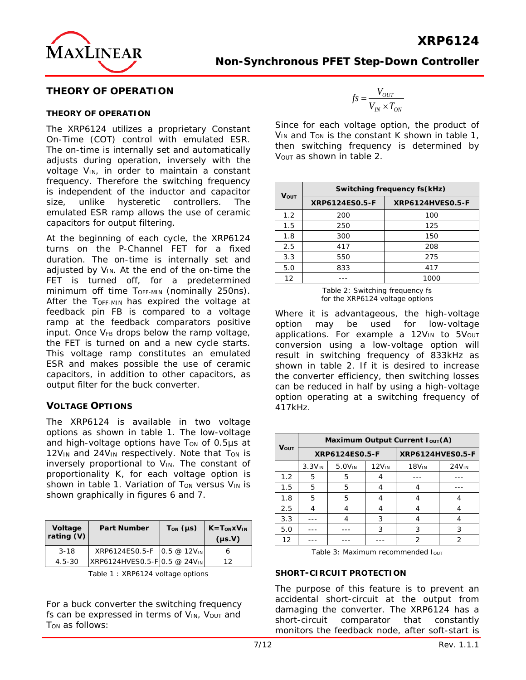

## **THEORY OF OPERATION**

#### **THEORY OF OPERATION**

The XRP6124 utilizes a proprietary Constant On-Time (COT) control with emulated ESR. The on-time is internally set and automatically adjusts during operation, inversely with the voltage V<sub>IN</sub>, in order to maintain a constant frequency. Therefore the switching frequency is independent of the inductor and capacitor size, unlike hysteretic controllers. The emulated ESR ramp allows the use of ceramic capacitors for output filtering.

At the beginning of each cycle, the XRP6124 turns on the P-Channel FET for a fixed duration. The on-time is internally set and adjusted by V<sub>IN</sub>. At the end of the on-time the FET is turned off, for a predetermined minimum off time TOFF-MIN (nominally 250ns). After the T<sub>OFF-MIN</sub> has expired the voltage at feedback pin FB is compared to a voltage ramp at the feedback comparators positive input. Once  $V_{FB}$  drops below the ramp voltage, the FET is turned on and a new cycle starts. This voltage ramp constitutes an emulated ESR and makes possible the use of ceramic capacitors, in addition to other capacitors, as output filter for the buck converter.

### **VOLTAGE OPTIONS**

The XRP6124 is available in two voltage options as shown in table 1. The low-voltage and high-voltage options have Ton of 0.5µs at 12V<sub>IN</sub> and 24V<sub>IN</sub> respectively. Note that T<sub>ON</sub> is inversely proportional to V<sub>IN</sub>. The constant of proportionality K, for each voltage option is shown in table 1. Variation of  $T_{ON}$  versus  $V_{IN}$  is shown graphically in figures 6 and 7.

| Voltage<br>rating (V) | <b>Part Number</b>           | $T_{ON}$ (µs) | $K = TON xVIN$<br>$(\mu s.V)$ |
|-----------------------|------------------------------|---------------|-------------------------------|
| $3 - 18$              | XRP6124ES0.5-F 0.5 @ 12VIN   |               |                               |
| $4.5 - 30$            | XRP6124HVES0.5-F 0.5 @ 24VIN |               | 1つ                            |

Table 1 : XRP6124 voltage options

For a buck converter the switching frequency fs can be expressed in terms of  $V_{IN}$ ,  $V_{OUT}$  and T<sub>ON</sub> as follows:

$$
f_S = \frac{V_{OUT}}{V_{IN} \times T_{ON}}
$$

**XRP6124**

Since for each voltage option, the product of  $V_{IN}$  and T<sub>ON</sub> is the constant K shown in table 1, then switching frequency is determined by V<sub>OUT</sub> as shown in table 2.

|      | Switching frequency fs(kHz) |                         |  |  |  |  |  |  |  |  |
|------|-----------------------------|-------------------------|--|--|--|--|--|--|--|--|
| VOUT | XRP6124ES0.5-F              | <b>XRP6124HVES0.5-F</b> |  |  |  |  |  |  |  |  |
| 1.2  | 200                         | 100                     |  |  |  |  |  |  |  |  |
| 1.5  | 250                         | 125                     |  |  |  |  |  |  |  |  |
| 1.8  | 300                         | 150                     |  |  |  |  |  |  |  |  |
| 2.5  | 417                         | 208                     |  |  |  |  |  |  |  |  |
| 3.3  | 550                         | 275                     |  |  |  |  |  |  |  |  |
| 5.0  | 833                         | 417                     |  |  |  |  |  |  |  |  |
| 12   |                             | 1000                    |  |  |  |  |  |  |  |  |

Table 2: Switching frequency fs for the XRP6124 voltage options

Where it is advantageous, the high-voltage option may be used for low-voltage applications. For example a 12VIN to 5Vout conversion using a low-voltage option will result in switching frequency of 833kHz as shown in table 2. If it is desired to increase the converter efficiency, then switching losses can be reduced in half by using a high-voltage option operating at a switching frequency of 417kHz.

|      | Maximum Output Current $I_{OUT}(A)$ |                    |                   |                         |                   |  |  |  |  |  |  |  |
|------|-------------------------------------|--------------------|-------------------|-------------------------|-------------------|--|--|--|--|--|--|--|
| Vout |                                     | XRP6124ES0.5-F     |                   | <b>XRP6124HVES0.5-F</b> |                   |  |  |  |  |  |  |  |
|      | 3.3V <sub>IN</sub>                  | 5.0V <sub>IN</sub> | 12V <sub>IN</sub> | 18V <sub>IN</sub>       | 24V <sub>IN</sub> |  |  |  |  |  |  |  |
| 1.2  | 5                                   | 5                  |                   |                         |                   |  |  |  |  |  |  |  |
| 1.5  | 5                                   | 5                  |                   |                         |                   |  |  |  |  |  |  |  |
| 1.8  | 5                                   | 5                  | 4                 | 4                       |                   |  |  |  |  |  |  |  |
| 2.5  | 4                                   |                    |                   |                         |                   |  |  |  |  |  |  |  |
| 3.3  |                                     | 4                  | 3                 | 4                       |                   |  |  |  |  |  |  |  |
| 5.0  |                                     |                    | 3                 | 3                       | 3                 |  |  |  |  |  |  |  |
| 12   |                                     |                    |                   | 2                       |                   |  |  |  |  |  |  |  |

Table 3: Maximum recommended Iout

#### **SHORT-CIRCUIT PROTECTION**

The purpose of this feature is to prevent an accidental short-circuit at the output from damaging the converter. The XRP6124 has a short-circuit comparator that constantly monitors the feedback node, after soft-start is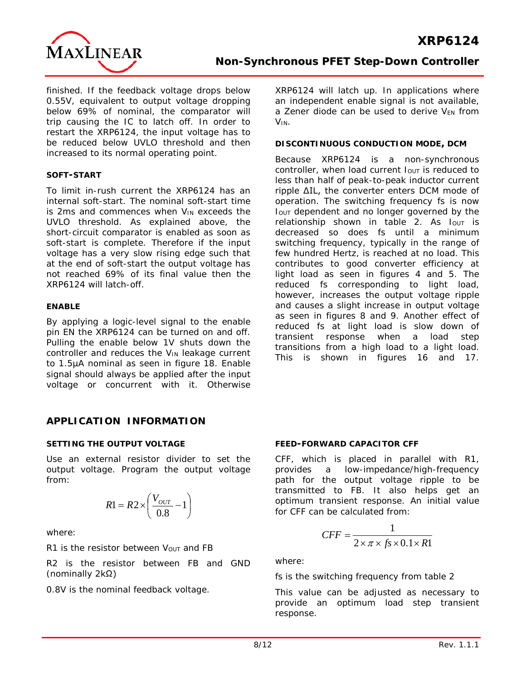

finished. If the feedback voltage drops below 0.55V, equivalent to output voltage dropping below 69% of nominal, the comparator will trip causing the IC to latch off. In order to restart the XRP6124, the input voltage has to be reduced below UVLO threshold and then increased to its normal operating point.

#### **SOFT-START**

To limit in-rush current the XRP6124 has an internal soft-start. The nominal soft-start time is 2ms and commences when VIN exceeds the UVLO threshold. As explained above, the short-circuit comparator is enabled as soon as soft-start is complete. Therefore if the input voltage has a very slow rising edge such that at the end of soft-start the output voltage has not reached 69% of its final value then the XRP6124 will latch-off.

#### **ENABLE**

By applying a logic-level signal to the enable pin EN the XRP6124 can be turned on and off. Pulling the enable below 1V shuts down the controller and reduces the V<sub>IN</sub> leakage current to 1.5µA nominal as seen in figure 18. Enable signal should always be applied after the input voltage or concurrent with it. Otherwise XRP6124 will latch up. In applications where an independent enable signal is not available, a Zener diode can be used to derive VEN from VIN.

#### **DISCONTINUOUS CONDUCTION MODE, DCM**

Because XRP6124 is a non-synchronous controller, when load current  $I_{OUT}$  is reduced to less than half of peak-to-peak inductor current ripple ΔIL, the converter enters DCM mode of operation. The switching frequency fs is now IOUT dependent and no longer governed by the relationship shown in table 2. As  $I_{\text{OUT}}$  is decreased so does fs until a minimum switching frequency, typically in the range of few hundred Hertz, is reached at no load. This contributes to good converter efficiency at light load as seen in figures 4 and 5. The reduced fs corresponding to light load, however, increases the output voltage ripple and causes a slight increase in output voltage as seen in figures 8 and 9. Another effect of reduced fs at light load is slow down of transient response when a load step transitions from a high load to a light load. This is shown in figures 16 and 17.

## **APPLICATION INFORMATION**

### **SETTING THE OUTPUT VOLTAGE**

Use an external resistor divider to set the output voltage. Program the output voltage from:

$$
R1 = R2 \times \left(\frac{V_{OUT}}{0.8} - 1\right)
$$

where:

 $R1$  is the resistor between  $V_{\text{OUT}}$  and FB

R2 is the resistor between FB and GND (nominally 2kΩ)

0.8V is the nominal feedback voltage.

#### **FEED-FORWARD CAPACITOR CFF**

CFF, which is placed in parallel with R1, provides a low-impedance/high-frequency path for the output voltage ripple to be transmitted to FB. It also helps get an optimum transient response. An initial value for CFF can be calculated from:

$$
CFF = \frac{1}{2 \times \pi \times fs \times 0.1 \times R1}
$$

where:

fs is the switching frequency from table 2

This value can be adjusted as necessary to provide an optimum load step transient response.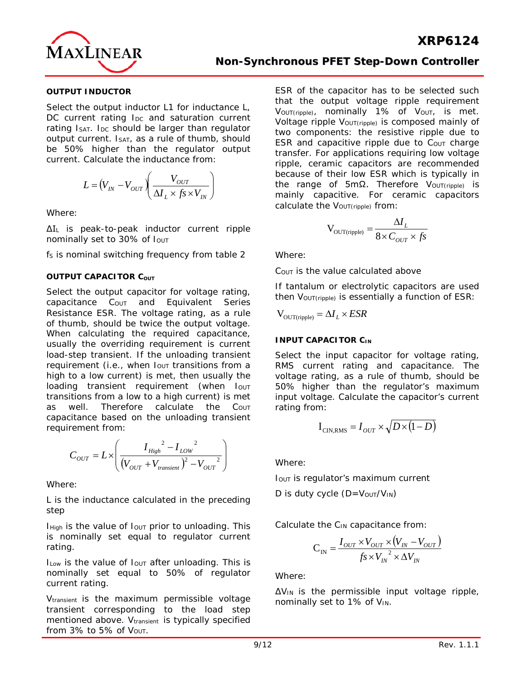

#### **OUTPUT INDUCTOR**

Select the output inductor L1 for inductance L, DC current rating I<sub>DC</sub> and saturation current rating IsAT. IDC should be larger than regulator output current. ISAT, as a rule of thumb, should be 50% higher than the regulator output current. Calculate the inductance from:

$$
L = (V_{IN} - V_{OUT}) \left( \frac{V_{OUT}}{\Delta I_L \times f_s \times V_{IN}} \right)
$$

Where:

ΔI<sup>L</sup> is peak-to-peak inductor current ripple nominally set to 30% of lout

fs is nominal switching frequency from table 2

#### **OUTPUT CAPACITOR COUT**

Select the output capacitor for voltage rating, capacitance C<sub>OUT</sub> and Equivalent Series Resistance ESR. The voltage rating, as a rule of thumb, should be twice the output voltage. When calculating the required capacitance, usually the overriding requirement is current load-step transient. If the unloading transient requirement (i.e., when  $I_{OUT}$  transitions from a high to a low current) is met, then usually the loading transient requirement (when IOUT transitions from a low to a high current) is met as well. Therefore calculate the C<sub>OUT</sub> capacitance based on the unloading transient requirement from:

$$
C_{OUT} = L \times \left( \frac{I_{High}^{2} - I_{LOW}^{2}}{(V_{OUT} + V_{transient})^{2} - V_{OUT}^{2}} \right)
$$

Where:

L is the inductance calculated in the preceding step

 $I_{High}$  is the value of  $I_{OUT}$  prior to unloading. This is nominally set equal to regulator current rating.

ILow is the value of lout after unloading. This is nominally set equal to 50% of regulator current rating.

V<sub>transient</sub> is the maximum permissible voltage transient corresponding to the load step mentioned above. V<sub>transient</sub> is typically specified from  $3\%$  to  $5\%$  of  $V_{\text{OUT}}$ .

ESR of the capacitor has to be selected such that the output voltage ripple requirement VOUT(ripple), nominally 1% of VOUT, is met.

Voltage ripple Vout(ripple) is composed mainly of two components: the resistive ripple due to ESR and capacitive ripple due to Cout charge transfer. For applications requiring low voltage ripple, ceramic capacitors are recommended because of their low ESR which is typically in the range of 5mΩ. Therefore VoUT(ripple) is mainly capacitive. For ceramic capacitors calculate the V<sub>OUT(ripple)</sub> from:

$$
V_{\text{OUT}(ripple)} = \frac{\Delta I_L}{8 \times C_{OUT} \times fs}
$$

Where:

COUT is the value calculated above

If tantalum or electrolytic capacitors are used then VOUT(ripple) is essentially a function of ESR:

 $V_{\text{OUT(ripole)}} = \Delta I_L \times ESR$ 

#### **INPUT CAPACITOR CIN**

Select the input capacitor for voltage rating, RMS current rating and capacitance. The voltage rating, as a rule of thumb, should be 50% higher than the regulator's maximum input voltage. Calculate the capacitor's current rating from:

$$
I_{\text{CIN,RMS}} = I_{\text{OUT}} \times \sqrt{D \times (1 - D)}
$$

Where:

IOUT is regulator's maximum current

D is duty cycle  $(D=V<sub>OUT</sub>/V<sub>IN</sub>)$ 

Calculate the C<sub>IN</sub> capacitance from:

$$
C_{IN} = \frac{I_{OUT} \times V_{OUT} \times (V_{IN} - V_{OUT})}{f_s \times {V_{IN}}^2 \times \Delta V_{IN}}
$$

Where:

 $\Delta V_{\text{IN}}$  is the permissible input voltage ripple, nominally set to 1% of VIN.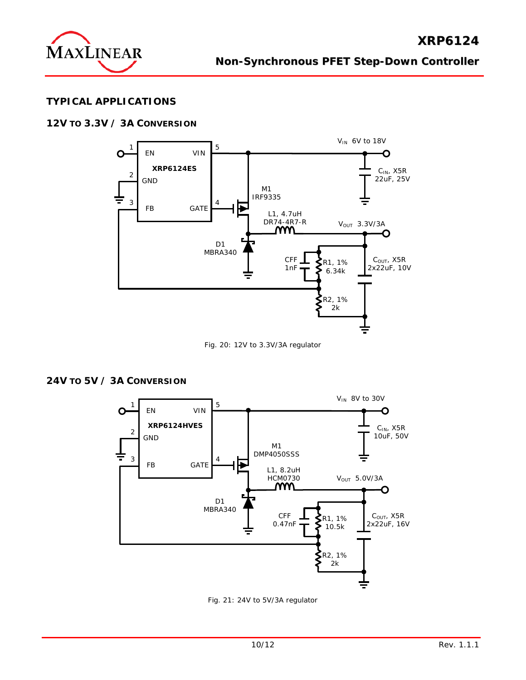

## **TYPICAL APPLICATIONS**

## **12V TO 3.3V / 3A CONVERSION**



Fig. 20: 12V to 3.3V/3A regulator

### **24V TO 5V / 3A CONVERSION**



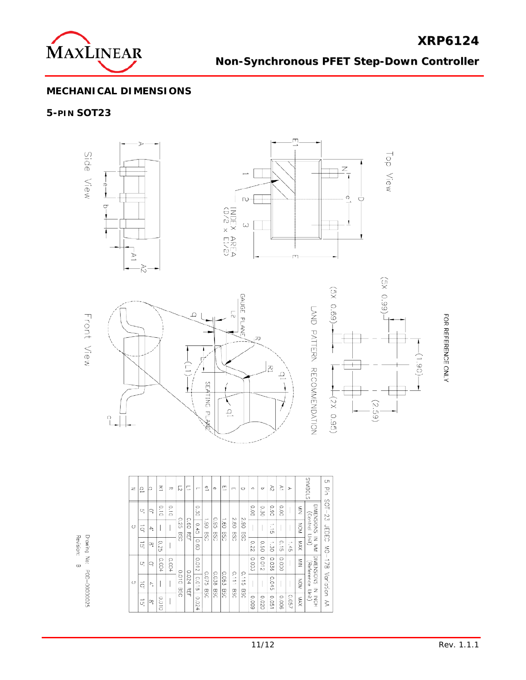

**XRP6124**

## **MECHANICAL DIMENSIONS**

## **5-PIN SOT23**



| z  | ₽  | lo | 꼬     | 刀     | 5                   | C           | $\overline{ }$ | ≞                          | Φ                 | m<br>∸                   | m                  | O                               | $\circ$ | $\sigma$ | 72                                    | r     | ⋗     |               | SIDBNUS                 | UЛ<br>끟      |
|----|----|----|-------|-------|---------------------|-------------|----------------|----------------------------|-------------------|--------------------------|--------------------|---------------------------------|---------|----------|---------------------------------------|-------|-------|---------------|-------------------------|--------------|
|    | Uļ | Q  | 0.10  | 0.10  |                     |             | 0.30           | →                          |                   | $\overline{\phantom{a}}$ |                    |                                 | 80.0    | 0.30     | 0.90                                  | 0.00  |       | $\frac{z}{z}$ | DIMENSIONS              | $501 - 23$   |
| C  | Q  | ÷. |       |       | 0.25<br><b>BSC</b>  | 0.60<br>REF | 0.45           | $06^{\circ}$<br><b>CSG</b> | 98.<br><b>DSB</b> | ġO<br><b>DSG</b>         | 2.80<br><b>DSG</b> | 2.90<br><b>DSB</b>              |         |          | ×.<br>$\rightarrow$<br>C <sub>D</sub> |       |       | KON           | Control                 | <b>JEDEC</b> |
|    | g, | œ  | 0.25  |       |                     |             | 09.01          |                            |                   |                          |                    |                                 | 222     | 0.50     | 1.30                                  | 0.15  | 1.45  | <b>XAX</b>    | ∩nit)<br>Ξ<br>$\leq$    | Š            |
|    | UŢ | ą  | 0.004 | 0.004 |                     |             | 0.012          |                            |                   |                          |                    |                                 | 0.003   | 2100     | 0.036                                 | 0000  |       | $\frac{8}{2}$ | DIMENSIONS<br>Reference | 178          |
| Ch | ą  | Ą. |       |       | 0.010<br><b>BSG</b> | 0.024<br>즦  | 810.0          | 0.075                      | 0.038             | 0.06<br>Ō4               | S<br>$\equiv$      | o.<br>÷,<br>$\rightarrow$<br>Ch |         |          | 0.04<br>Ćh                            |       |       | NON           | ż                       | Variation    |
|    | Ğ. | œ  | 0.010 |       |                     |             | 0.024          | OSB                        | <b>DSB</b>        | <b>BSC</b>               | <b>BSC</b>         | <b>DSB</b>                      | 6000    | 0.020    | 0.051                                 | 900'0 | 0.057 | <b>NAX</b>    | Unit)<br>NCH            | ₿            |

Revision: Drawing No: POD-00000025  $\infty$